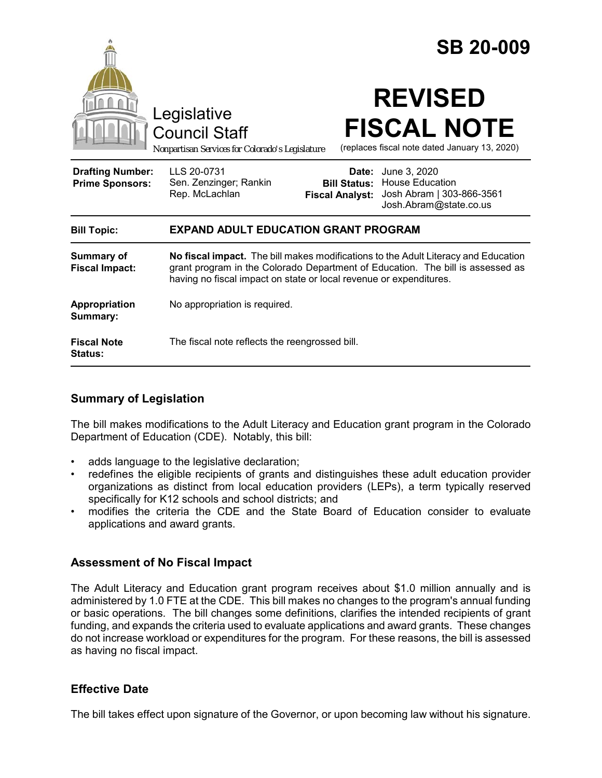

## **Summary of Legislation**

The bill makes modifications to the Adult Literacy and Education grant program in the Colorado Department of Education (CDE). Notably, this bill:

- adds language to the legislative declaration;
- redefines the eligible recipients of grants and distinguishes these adult education provider organizations as distinct from local education providers (LEPs), a term typically reserved specifically for K12 schools and school districts; and
- modifies the criteria the CDE and the State Board of Education consider to evaluate applications and award grants.

## **Assessment of No Fiscal Impact**

The Adult Literacy and Education grant program receives about \$1.0 million annually and is administered by 1.0 FTE at the CDE. This bill makes no changes to the program's annual funding or basic operations. The bill changes some definitions, clarifies the intended recipients of grant funding, and expands the criteria used to evaluate applications and award grants. These changes do not increase workload or expenditures for the program. For these reasons, the bill is assessed as having no fiscal impact.

## **Effective Date**

The bill takes effect upon signature of the Governor, or upon becoming law without his signature.